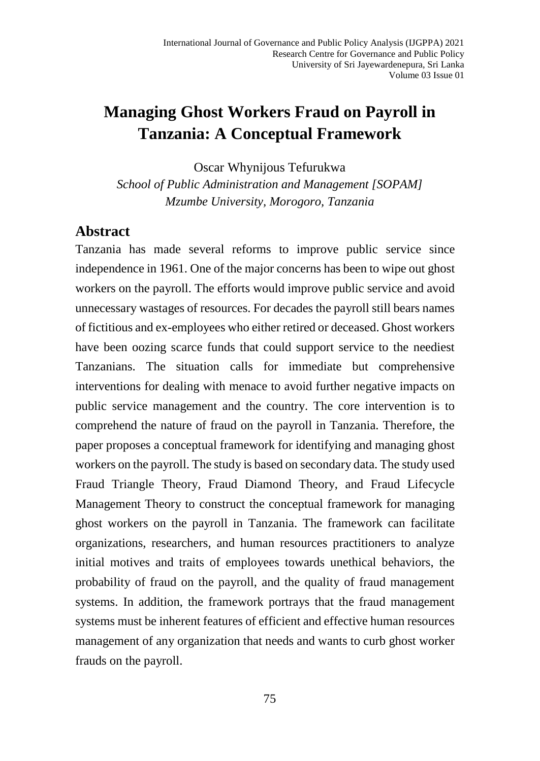# **Managing Ghost Workers Fraud on Payroll in Tanzania: A Conceptual Framework**

Oscar Whynijous Tefurukwa

*School of Public Administration and Management [SOPAM] Mzumbe University, Morogoro, Tanzania*

## **Abstract**

Tanzania has made several reforms to improve public service since independence in 1961. One of the major concerns has been to wipe out ghost workers on the payroll. The efforts would improve public service and avoid unnecessary wastages of resources. For decades the payroll still bears names of fictitious and ex-employees who either retired or deceased. Ghost workers have been oozing scarce funds that could support service to the neediest Tanzanians. The situation calls for immediate but comprehensive interventions for dealing with menace to avoid further negative impacts on public service management and the country. The core intervention is to comprehend the nature of fraud on the payroll in Tanzania. Therefore, the paper proposes a conceptual framework for identifying and managing ghost workers on the payroll. The study is based on secondary data. The study used Fraud Triangle Theory, Fraud Diamond Theory, and Fraud Lifecycle Management Theory to construct the conceptual framework for managing ghost workers on the payroll in Tanzania. The framework can facilitate organizations, researchers, and human resources practitioners to analyze initial motives and traits of employees towards unethical behaviors, the probability of fraud on the payroll, and the quality of fraud management systems. In addition, the framework portrays that the fraud management systems must be inherent features of efficient and effective human resources management of any organization that needs and wants to curb ghost worker frauds on the payroll.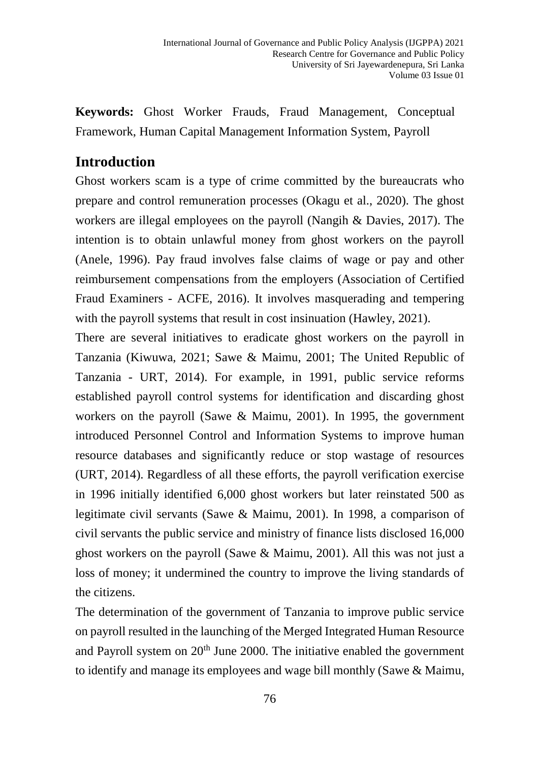**Keywords:** Ghost Worker Frauds, Fraud Management, Conceptual Framework, Human Capital Management Information System, Payroll

# **Introduction**

Ghost workers scam is a type of crime committed by the bureaucrats who prepare and control remuneration processes (Okagu et al., 2020). The ghost workers are illegal employees on the payroll (Nangih & Davies, 2017). The intention is to obtain unlawful money from ghost workers on the payroll (Anele, 1996). Pay fraud involves false claims of wage or pay and other reimbursement compensations from the employers (Association of Certified Fraud Examiners - ACFE, 2016). It involves masquerading and tempering with the payroll systems that result in cost insinuation (Hawley, 2021).

There are several initiatives to eradicate ghost workers on the payroll in Tanzania (Kiwuwa, 2021; Sawe & Maimu, 2001; The United Republic of Tanzania - URT, 2014). For example, in 1991, public service reforms established payroll control systems for identification and discarding ghost workers on the payroll (Sawe & Maimu, 2001). In 1995, the government introduced Personnel Control and Information Systems to improve human resource databases and significantly reduce or stop wastage of resources (URT, 2014). Regardless of all these efforts, the payroll verification exercise in 1996 initially identified 6,000 ghost workers but later reinstated 500 as legitimate civil servants (Sawe & Maimu, 2001). In 1998, a comparison of civil servants the public service and ministry of finance lists disclosed 16,000 ghost workers on the payroll (Sawe & Maimu, 2001). All this was not just a loss of money; it undermined the country to improve the living standards of the citizens.

The determination of the government of Tanzania to improve public service on payroll resulted in the launching of the Merged Integrated Human Resource and Payroll system on  $20<sup>th</sup>$  June 2000. The initiative enabled the government to identify and manage its employees and wage bill monthly (Sawe & Maimu,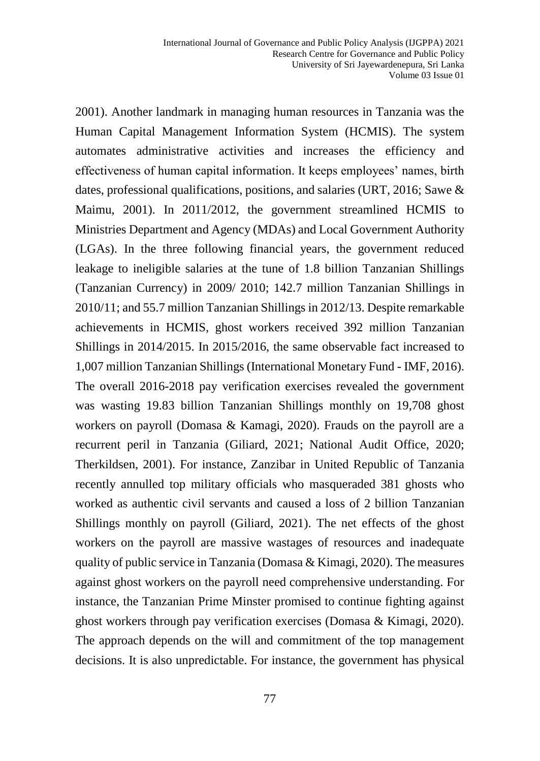2001). Another landmark in managing human resources in Tanzania was the Human Capital Management Information System (HCMIS). The system automates administrative activities and increases the efficiency and effectiveness of human capital information. It keeps employees' names, birth dates, professional qualifications, positions, and salaries (URT, 2016; Sawe & Maimu, 2001). In 2011/2012, the government streamlined HCMIS to Ministries Department and Agency (MDAs) and Local Government Authority (LGAs). In the three following financial years, the government reduced leakage to ineligible salaries at the tune of 1.8 billion Tanzanian Shillings (Tanzanian Currency) in 2009/ 2010; 142.7 million Tanzanian Shillings in 2010/11; and 55.7 million Tanzanian Shillings in 2012/13. Despite remarkable achievements in HCMIS, ghost workers received 392 million Tanzanian Shillings in 2014/2015. In 2015/2016, the same observable fact increased to 1,007 million Tanzanian Shillings (International Monetary Fund - IMF, 2016). The overall 2016-2018 pay verification exercises revealed the government was wasting 19.83 billion Tanzanian Shillings monthly on 19,708 ghost workers on payroll (Domasa & Kamagi, 2020). Frauds on the payroll are a recurrent peril in Tanzania (Giliard, 2021; National Audit Office, 2020; Therkildsen, 2001). For instance, Zanzibar in United Republic of Tanzania recently annulled top military officials who masqueraded 381 ghosts who worked as authentic civil servants and caused a loss of 2 billion Tanzanian Shillings monthly on payroll (Giliard, 2021). The net effects of the ghost workers on the payroll are massive wastages of resources and inadequate quality of public service in Tanzania (Domasa & Kimagi, 2020). The measures against ghost workers on the payroll need comprehensive understanding. For instance, the Tanzanian Prime Minster promised to continue fighting against ghost workers through pay verification exercises (Domasa & Kimagi, 2020). The approach depends on the will and commitment of the top management decisions. It is also unpredictable. For instance, the government has physical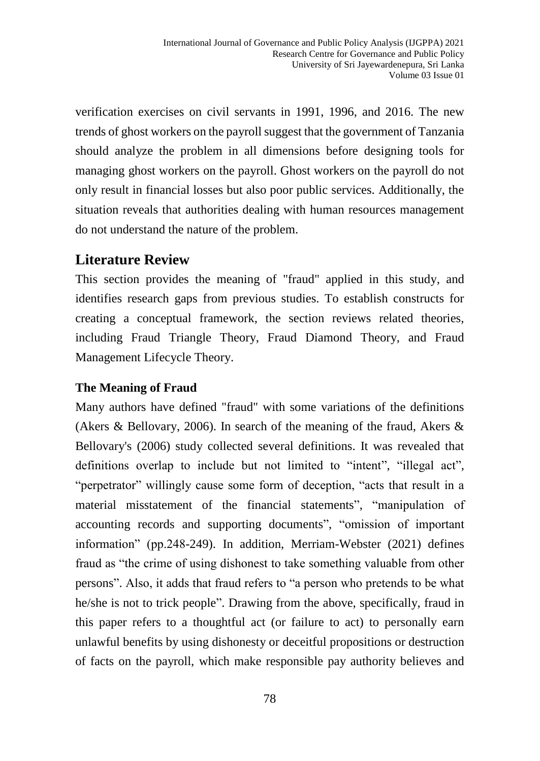verification exercises on civil servants in 1991, 1996, and 2016. The new trends of ghost workers on the payroll suggest that the government of Tanzania should analyze the problem in all dimensions before designing tools for managing ghost workers on the payroll. Ghost workers on the payroll do not only result in financial losses but also poor public services. Additionally, the situation reveals that authorities dealing with human resources management do not understand the nature of the problem.

# **Literature Review**

This section provides the meaning of "fraud" applied in this study, and identifies research gaps from previous studies. To establish constructs for creating a conceptual framework, the section reviews related theories, including Fraud Triangle Theory, Fraud Diamond Theory, and Fraud Management Lifecycle Theory.

## **The Meaning of Fraud**

Many authors have defined "fraud" with some variations of the definitions (Akers & Bellovary, 2006). In search of the meaning of the fraud, Akers & Bellovary's (2006) study collected several definitions. It was revealed that definitions overlap to include but not limited to "intent", "illegal act", "perpetrator" willingly cause some form of deception, "acts that result in a material misstatement of the financial statements", "manipulation of accounting records and supporting documents", "omission of important information" (pp.248-249). In addition, Merriam-Webster (2021) defines fraud as "the crime of using dishonest to take something valuable from other persons". Also, it adds that fraud refers to "a person who pretends to be what he/she is not to trick people". Drawing from the above, specifically, fraud in this paper refers to a thoughtful act (or failure to act) to personally earn unlawful benefits by using dishonesty or deceitful propositions or destruction of facts on the payroll, which make responsible pay authority believes and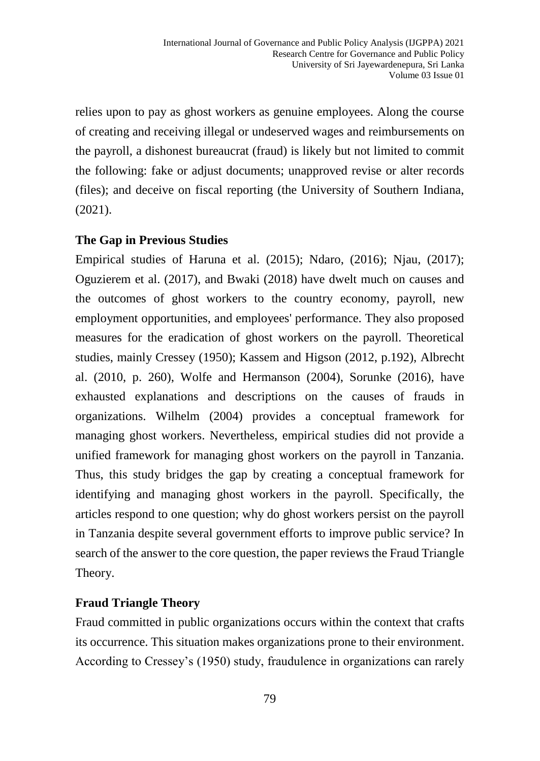relies upon to pay as ghost workers as genuine employees. Along the course of creating and receiving illegal or undeserved wages and reimbursements on the payroll, a dishonest bureaucrat (fraud) is likely but not limited to commit the following: fake or adjust documents; unapproved revise or alter records (files); and deceive on fiscal reporting (the University of Southern Indiana, (2021).

## **The Gap in Previous Studies**

Empirical studies of Haruna et al. (2015); Ndaro, (2016); Njau, (2017); Oguzierem et al. (2017), and Bwaki (2018) have dwelt much on causes and the outcomes of ghost workers to the country economy, payroll, new employment opportunities, and employees' performance. They also proposed measures for the eradication of ghost workers on the payroll. Theoretical studies, mainly Cressey (1950); Kassem and Higson (2012, p.192), Albrecht al. (2010, p. 260), Wolfe and Hermanson (2004), Sorunke (2016), have exhausted explanations and descriptions on the causes of frauds in organizations. Wilhelm (2004) provides a conceptual framework for managing ghost workers. Nevertheless, empirical studies did not provide a unified framework for managing ghost workers on the payroll in Tanzania. Thus, this study bridges the gap by creating a conceptual framework for identifying and managing ghost workers in the payroll. Specifically, the articles respond to one question; why do ghost workers persist on the payroll in Tanzania despite several government efforts to improve public service? In search of the answer to the core question, the paper reviews the Fraud Triangle Theory.

# **Fraud Triangle Theory**

Fraud committed in public organizations occurs within the context that crafts its occurrence. This situation makes organizations prone to their environment. According to Cressey's (1950) study, fraudulence in organizations can rarely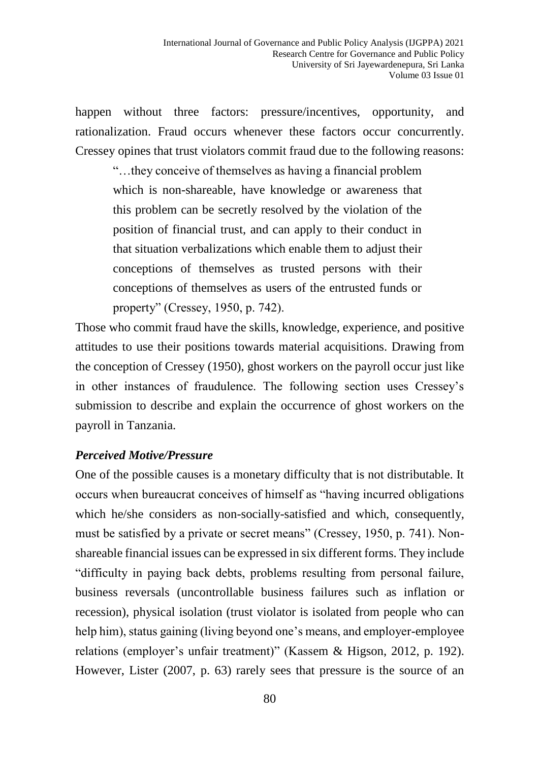happen without three factors: pressure/incentives, opportunity, and rationalization. Fraud occurs whenever these factors occur concurrently. Cressey opines that trust violators commit fraud due to the following reasons:

"…they conceive of themselves as having a financial problem which is non-shareable, have knowledge or awareness that this problem can be secretly resolved by the violation of the position of financial trust, and can apply to their conduct in that situation verbalizations which enable them to adjust their conceptions of themselves as trusted persons with their conceptions of themselves as users of the entrusted funds or property" (Cressey, 1950, p. 742).

Those who commit fraud have the skills, knowledge, experience, and positive attitudes to use their positions towards material acquisitions. Drawing from the conception of Cressey (1950), ghost workers on the payroll occur just like in other instances of fraudulence. The following section uses Cressey's submission to describe and explain the occurrence of ghost workers on the payroll in Tanzania.

#### *Perceived Motive/Pressure*

One of the possible causes is a monetary difficulty that is not distributable. It occurs when bureaucrat conceives of himself as "having incurred obligations which he/she considers as non-socially-satisfied and which, consequently, must be satisfied by a private or secret means" (Cressey, 1950, p. 741). Nonshareable financial issues can be expressed in six different forms. They include "difficulty in paying back debts, problems resulting from personal failure, business reversals (uncontrollable business failures such as inflation or recession), physical isolation (trust violator is isolated from people who can help him), status gaining (living beyond one's means, and employer-employee relations (employer's unfair treatment)" (Kassem & Higson, 2012, p. 192). However, Lister (2007, p. 63) rarely sees that pressure is the source of an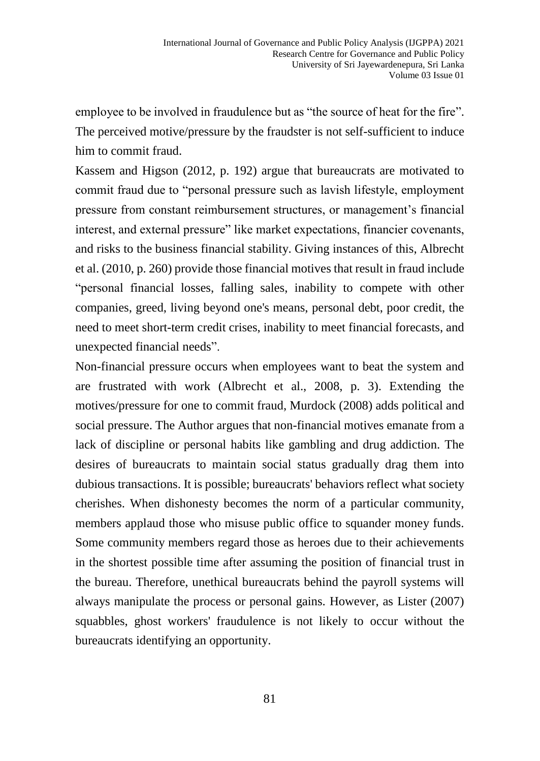employee to be involved in fraudulence but as "the source of heat for the fire". The perceived motive/pressure by the fraudster is not self-sufficient to induce him to commit fraud.

Kassem and Higson (2012, p. 192) argue that bureaucrats are motivated to commit fraud due to "personal pressure such as lavish lifestyle, employment pressure from constant reimbursement structures, or management's financial interest, and external pressure" like market expectations, financier covenants, and risks to the business financial stability. Giving instances of this, Albrecht et al. (2010, p. 260) provide those financial motives that result in fraud include "personal financial losses, falling sales, inability to compete with other companies, greed, living beyond one's means, personal debt, poor credit, the need to meet short-term credit crises, inability to meet financial forecasts, and unexpected financial needs".

Non-financial pressure occurs when employees want to beat the system and are frustrated with work (Albrecht et al., 2008, p. 3). Extending the motives/pressure for one to commit fraud, Murdock (2008) adds political and social pressure. The Author argues that non-financial motives emanate from a lack of discipline or personal habits like gambling and drug addiction. The desires of bureaucrats to maintain social status gradually drag them into dubious transactions. It is possible; bureaucrats' behaviors reflect what society cherishes. When dishonesty becomes the norm of a particular community, members applaud those who misuse public office to squander money funds. Some community members regard those as heroes due to their achievements in the shortest possible time after assuming the position of financial trust in the bureau. Therefore, unethical bureaucrats behind the payroll systems will always manipulate the process or personal gains. However, as Lister (2007) squabbles, ghost workers' fraudulence is not likely to occur without the bureaucrats identifying an opportunity.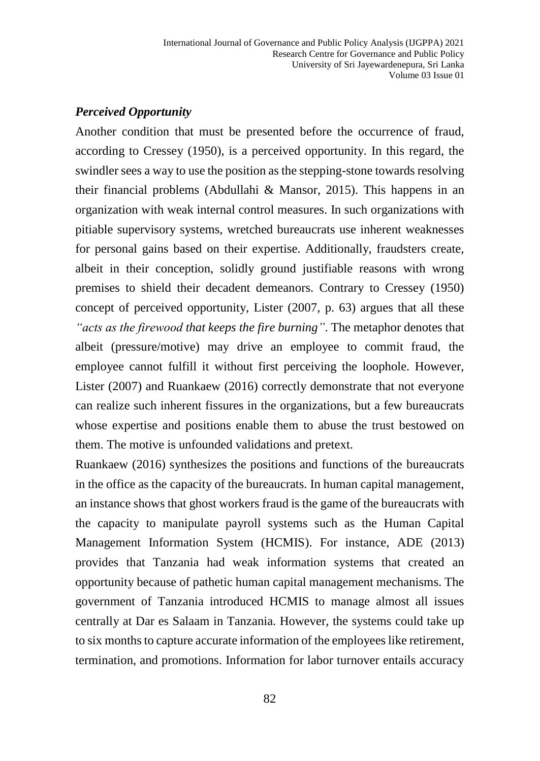#### *Perceived Opportunity*

Another condition that must be presented before the occurrence of fraud, according to Cressey (1950), is a perceived opportunity. In this regard, the swindler sees a way to use the position as the stepping-stone towards resolving their financial problems (Abdullahi & Mansor, 2015). This happens in an organization with weak internal control measures. In such organizations with pitiable supervisory systems, wretched bureaucrats use inherent weaknesses for personal gains based on their expertise. Additionally, fraudsters create, albeit in their conception, solidly ground justifiable reasons with wrong premises to shield their decadent demeanors. Contrary to Cressey (1950) concept of perceived opportunity, Lister (2007, p. 63) argues that all these *"acts as the firewood that keeps the fire burning"*. The metaphor denotes that albeit (pressure/motive) may drive an employee to commit fraud, the employee cannot fulfill it without first perceiving the loophole. However, Lister (2007) and Ruankaew (2016) correctly demonstrate that not everyone can realize such inherent fissures in the organizations, but a few bureaucrats whose expertise and positions enable them to abuse the trust bestowed on them. The motive is unfounded validations and pretext.

Ruankaew (2016) synthesizes the positions and functions of the bureaucrats in the office as the capacity of the bureaucrats. In human capital management, an instance shows that ghost workers fraud is the game of the bureaucrats with the capacity to manipulate payroll systems such as the Human Capital Management Information System (HCMIS). For instance, ADE (2013) provides that Tanzania had weak information systems that created an opportunity because of pathetic human capital management mechanisms. The government of Tanzania introduced HCMIS to manage almost all issues centrally at Dar es Salaam in Tanzania. However, the systems could take up to six months to capture accurate information of the employees like retirement, termination, and promotions. Information for labor turnover entails accuracy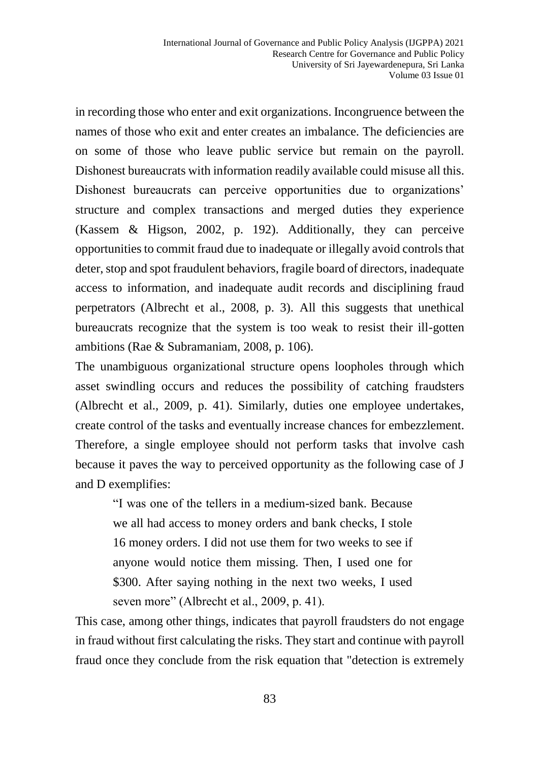in recording those who enter and exit organizations. Incongruence between the names of those who exit and enter creates an imbalance. The deficiencies are on some of those who leave public service but remain on the payroll. Dishonest bureaucrats with information readily available could misuse all this. Dishonest bureaucrats can perceive opportunities due to organizations' structure and complex transactions and merged duties they experience (Kassem & Higson, 2002, p. 192). Additionally, they can perceive opportunities to commit fraud due to inadequate or illegally avoid controls that deter, stop and spot fraudulent behaviors, fragile board of directors, inadequate access to information, and inadequate audit records and disciplining fraud perpetrators (Albrecht et al., 2008, p. 3). All this suggests that unethical bureaucrats recognize that the system is too weak to resist their ill-gotten ambitions (Rae & Subramaniam, 2008, p. 106).

The unambiguous organizational structure opens loopholes through which asset swindling occurs and reduces the possibility of catching fraudsters (Albrecht et al., 2009, p. 41). Similarly, duties one employee undertakes, create control of the tasks and eventually increase chances for embezzlement. Therefore, a single employee should not perform tasks that involve cash because it paves the way to perceived opportunity as the following case of J and D exemplifies:

"I was one of the tellers in a medium-sized bank. Because we all had access to money orders and bank checks, I stole 16 money orders. I did not use them for two weeks to see if anyone would notice them missing. Then, I used one for \$300. After saying nothing in the next two weeks, I used seven more" (Albrecht et al., 2009, p. 41).

This case, among other things, indicates that payroll fraudsters do not engage in fraud without first calculating the risks. They start and continue with payroll fraud once they conclude from the risk equation that "detection is extremely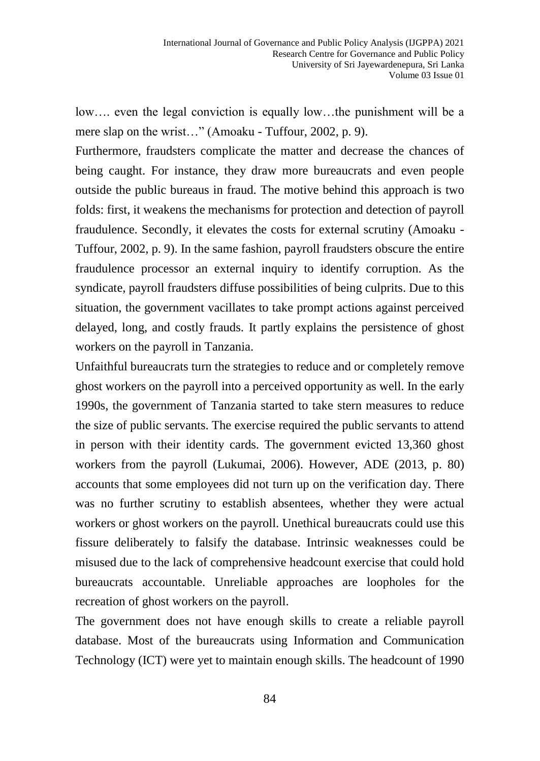low…. even the legal conviction is equally low…the punishment will be a mere slap on the wrist…" (Amoaku - Tuffour, 2002, p. 9).

Furthermore, fraudsters complicate the matter and decrease the chances of being caught. For instance, they draw more bureaucrats and even people outside the public bureaus in fraud. The motive behind this approach is two folds: first, it weakens the mechanisms for protection and detection of payroll fraudulence. Secondly, it elevates the costs for external scrutiny (Amoaku - Tuffour, 2002, p. 9). In the same fashion, payroll fraudsters obscure the entire fraudulence processor an external inquiry to identify corruption. As the syndicate, payroll fraudsters diffuse possibilities of being culprits. Due to this situation, the government vacillates to take prompt actions against perceived delayed, long, and costly frauds. It partly explains the persistence of ghost workers on the payroll in Tanzania.

Unfaithful bureaucrats turn the strategies to reduce and or completely remove ghost workers on the payroll into a perceived opportunity as well. In the early 1990s, the government of Tanzania started to take stern measures to reduce the size of public servants. The exercise required the public servants to attend in person with their identity cards. The government evicted 13,360 ghost workers from the payroll (Lukumai, 2006). However, ADE (2013, p. 80) accounts that some employees did not turn up on the verification day. There was no further scrutiny to establish absentees, whether they were actual workers or ghost workers on the payroll. Unethical bureaucrats could use this fissure deliberately to falsify the database. Intrinsic weaknesses could be misused due to the lack of comprehensive headcount exercise that could hold bureaucrats accountable. Unreliable approaches are loopholes for the recreation of ghost workers on the payroll.

The government does not have enough skills to create a reliable payroll database. Most of the bureaucrats using Information and Communication Technology (ICT) were yet to maintain enough skills. The headcount of 1990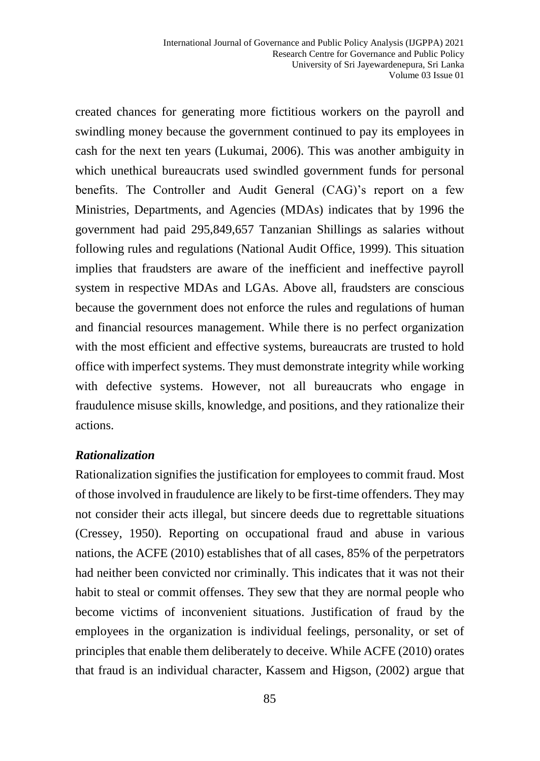created chances for generating more fictitious workers on the payroll and swindling money because the government continued to pay its employees in cash for the next ten years (Lukumai, 2006). This was another ambiguity in which unethical bureaucrats used swindled government funds for personal benefits. The Controller and Audit General (CAG)'s report on a few Ministries, Departments, and Agencies (MDAs) indicates that by 1996 the government had paid 295,849,657 Tanzanian Shillings as salaries without following rules and regulations (National Audit Office, 1999). This situation implies that fraudsters are aware of the inefficient and ineffective payroll system in respective MDAs and LGAs. Above all, fraudsters are conscious because the government does not enforce the rules and regulations of human and financial resources management. While there is no perfect organization with the most efficient and effective systems, bureaucrats are trusted to hold office with imperfect systems. They must demonstrate integrity while working with defective systems. However, not all bureaucrats who engage in fraudulence misuse skills, knowledge, and positions, and they rationalize their actions.

#### *Rationalization*

Rationalization signifies the justification for employees to commit fraud. Most of those involved in fraudulence are likely to be first-time offenders. They may not consider their acts illegal, but sincere deeds due to regrettable situations (Cressey, 1950). Reporting on occupational fraud and abuse in various nations, the ACFE (2010) establishes that of all cases, 85% of the perpetrators had neither been convicted nor criminally. This indicates that it was not their habit to steal or commit offenses. They sew that they are normal people who become victims of inconvenient situations. Justification of fraud by the employees in the organization is individual feelings, personality, or set of principles that enable them deliberately to deceive. While ACFE (2010) orates that fraud is an individual character, Kassem and Higson, (2002) argue that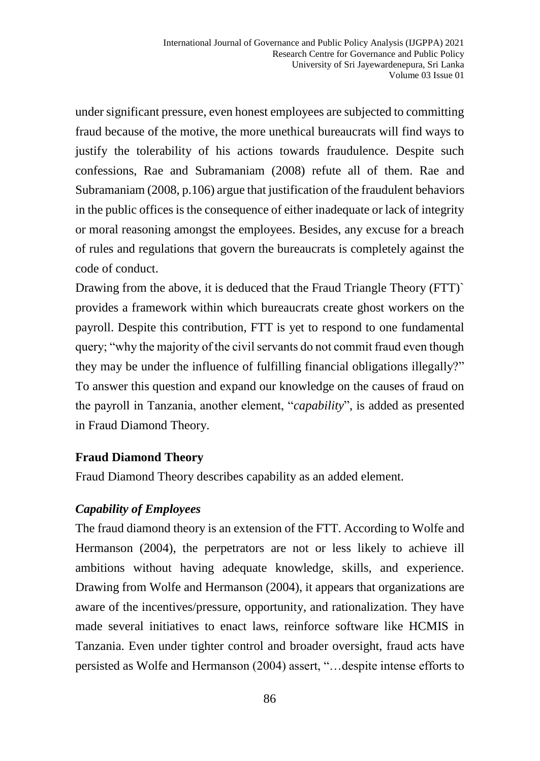under significant pressure, even honest employees are subjected to committing fraud because of the motive, the more unethical bureaucrats will find ways to justify the tolerability of his actions towards fraudulence. Despite such confessions, Rae and Subramaniam (2008) refute all of them. Rae and Subramaniam (2008, p.106) argue that justification of the fraudulent behaviors in the public offices is the consequence of either inadequate or lack of integrity or moral reasoning amongst the employees. Besides, any excuse for a breach of rules and regulations that govern the bureaucrats is completely against the code of conduct.

Drawing from the above, it is deduced that the Fraud Triangle Theory (FTT) provides a framework within which bureaucrats create ghost workers on the payroll. Despite this contribution, FTT is yet to respond to one fundamental query; "why the majority of the civil servants do not commit fraud even though they may be under the influence of fulfilling financial obligations illegally?" To answer this question and expand our knowledge on the causes of fraud on the payroll in Tanzania, another element, "*capability*", is added as presented in Fraud Diamond Theory.

#### **Fraud Diamond Theory**

Fraud Diamond Theory describes capability as an added element.

## *Capability of Employees*

The fraud diamond theory is an extension of the FTT. According to Wolfe and Hermanson (2004), the perpetrators are not or less likely to achieve ill ambitions without having adequate knowledge, skills, and experience. Drawing from Wolfe and Hermanson (2004), it appears that organizations are aware of the incentives/pressure, opportunity, and rationalization. They have made several initiatives to enact laws, reinforce software like HCMIS in Tanzania. Even under tighter control and broader oversight, fraud acts have persisted as Wolfe and Hermanson (2004) assert, "…despite intense efforts to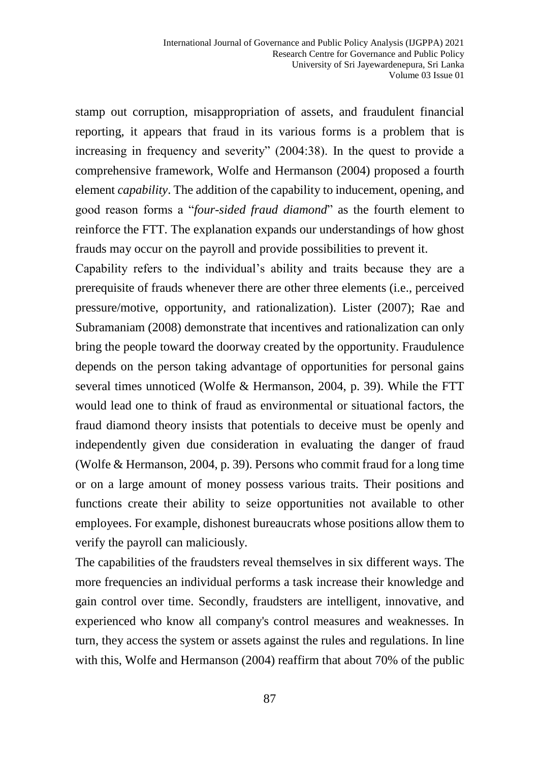stamp out corruption, misappropriation of assets, and fraudulent financial reporting, it appears that fraud in its various forms is a problem that is increasing in frequency and severity" (2004:38). In the quest to provide a comprehensive framework, Wolfe and Hermanson (2004) proposed a fourth element *capability*. The addition of the capability to inducement, opening, and good reason forms a "*four-sided fraud diamond*" as the fourth element to reinforce the FTT. The explanation expands our understandings of how ghost frauds may occur on the payroll and provide possibilities to prevent it.

Capability refers to the individual's ability and traits because they are a prerequisite of frauds whenever there are other three elements (i.e., perceived pressure/motive, opportunity, and rationalization). Lister (2007); Rae and Subramaniam (2008) demonstrate that incentives and rationalization can only bring the people toward the doorway created by the opportunity. Fraudulence depends on the person taking advantage of opportunities for personal gains several times unnoticed (Wolfe & Hermanson, 2004, p. 39). While the FTT would lead one to think of fraud as environmental or situational factors, the fraud diamond theory insists that potentials to deceive must be openly and independently given due consideration in evaluating the danger of fraud (Wolfe & Hermanson, 2004, p. 39). Persons who commit fraud for a long time or on a large amount of money possess various traits. Their positions and functions create their ability to seize opportunities not available to other employees. For example, dishonest bureaucrats whose positions allow them to verify the payroll can maliciously.

The capabilities of the fraudsters reveal themselves in six different ways. The more frequencies an individual performs a task increase their knowledge and gain control over time. Secondly, fraudsters are intelligent, innovative, and experienced who know all company's control measures and weaknesses. In turn, they access the system or assets against the rules and regulations. In line with this, Wolfe and Hermanson (2004) reaffirm that about 70% of the public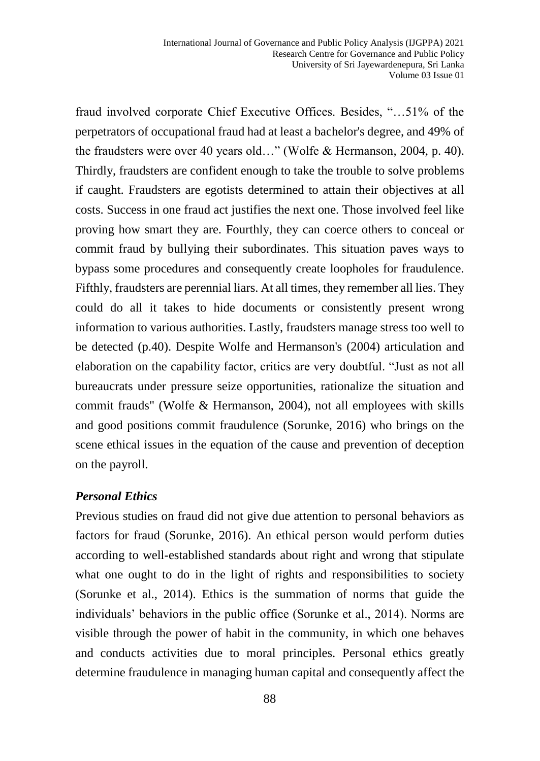fraud involved corporate Chief Executive Offices. Besides, "…51% of the perpetrators of occupational fraud had at least a bachelor's degree, and 49% of the fraudsters were over 40 years old…" (Wolfe & Hermanson, 2004, p. 40). Thirdly, fraudsters are confident enough to take the trouble to solve problems if caught. Fraudsters are egotists determined to attain their objectives at all costs. Success in one fraud act justifies the next one. Those involved feel like proving how smart they are. Fourthly, they can coerce others to conceal or commit fraud by bullying their subordinates. This situation paves ways to bypass some procedures and consequently create loopholes for fraudulence. Fifthly, fraudsters are perennial liars. At all times, they remember all lies. They could do all it takes to hide documents or consistently present wrong information to various authorities. Lastly, fraudsters manage stress too well to be detected (p.40). Despite Wolfe and Hermanson's (2004) articulation and elaboration on the capability factor, critics are very doubtful. "Just as not all bureaucrats under pressure seize opportunities, rationalize the situation and commit frauds" (Wolfe & Hermanson, 2004), not all employees with skills and good positions commit fraudulence (Sorunke, 2016) who brings on the scene ethical issues in the equation of the cause and prevention of deception on the payroll.

#### *Personal Ethics*

Previous studies on fraud did not give due attention to personal behaviors as factors for fraud (Sorunke, 2016). An ethical person would perform duties according to well-established standards about right and wrong that stipulate what one ought to do in the light of rights and responsibilities to society (Sorunke et al., 2014). Ethics is the summation of norms that guide the individuals' behaviors in the public office (Sorunke et al., 2014). Norms are visible through the power of habit in the community, in which one behaves and conducts activities due to moral principles. Personal ethics greatly determine fraudulence in managing human capital and consequently affect the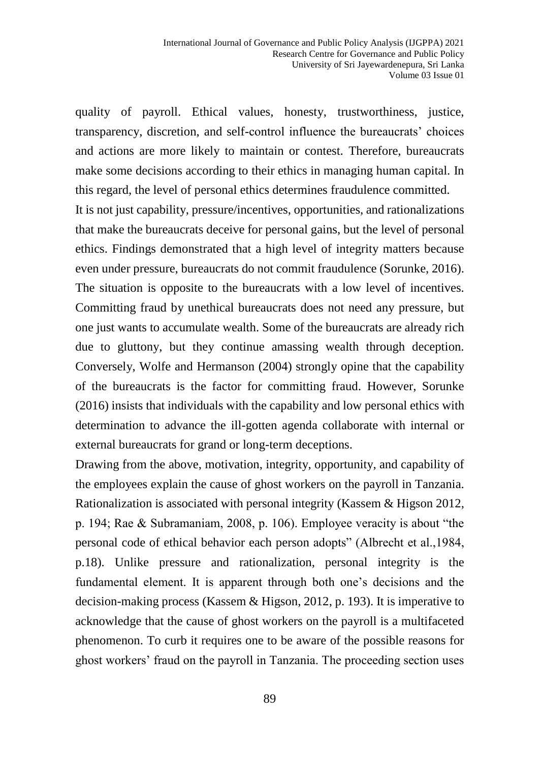quality of payroll. Ethical values, honesty, trustworthiness, justice, transparency, discretion, and self-control influence the bureaucrats' choices and actions are more likely to maintain or contest. Therefore, bureaucrats make some decisions according to their ethics in managing human capital. In this regard, the level of personal ethics determines fraudulence committed.

It is not just capability, pressure/incentives, opportunities, and rationalizations that make the bureaucrats deceive for personal gains, but the level of personal ethics. Findings demonstrated that a high level of integrity matters because even under pressure, bureaucrats do not commit fraudulence (Sorunke, 2016). The situation is opposite to the bureaucrats with a low level of incentives. Committing fraud by unethical bureaucrats does not need any pressure, but one just wants to accumulate wealth. Some of the bureaucrats are already rich due to gluttony, but they continue amassing wealth through deception. Conversely, Wolfe and Hermanson (2004) strongly opine that the capability of the bureaucrats is the factor for committing fraud. However, Sorunke (2016) insists that individuals with the capability and low personal ethics with determination to advance the ill-gotten agenda collaborate with internal or external bureaucrats for grand or long-term deceptions.

Drawing from the above, motivation, integrity, opportunity, and capability of the employees explain the cause of ghost workers on the payroll in Tanzania. Rationalization is associated with personal integrity (Kassem & Higson 2012, p. 194; Rae & Subramaniam, 2008, p. 106). Employee veracity is about "the personal code of ethical behavior each person adopts" (Albrecht et al.,1984, p.18). Unlike pressure and rationalization, personal integrity is the fundamental element. It is apparent through both one's decisions and the decision-making process (Kassem & Higson, 2012, p. 193). It is imperative to acknowledge that the cause of ghost workers on the payroll is a multifaceted phenomenon. To curb it requires one to be aware of the possible reasons for ghost workers' fraud on the payroll in Tanzania. The proceeding section uses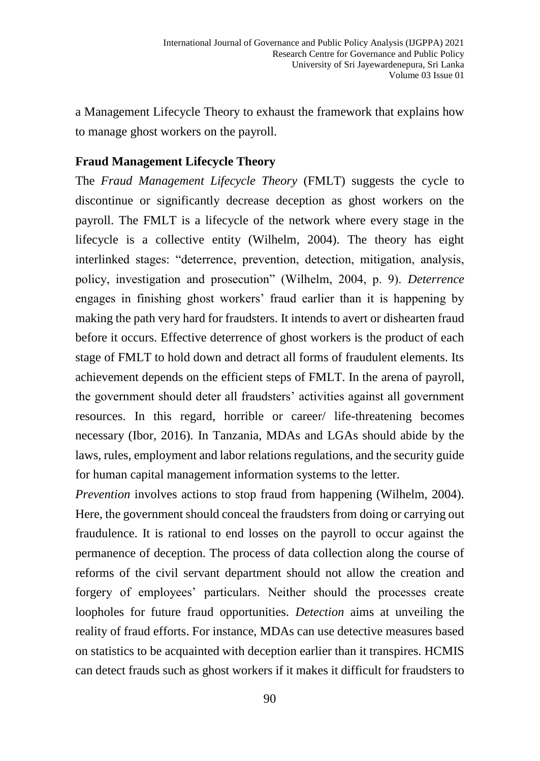a Management Lifecycle Theory to exhaust the framework that explains how to manage ghost workers on the payroll.

## **Fraud Management Lifecycle Theory**

The *Fraud Management Lifecycle Theory* (FMLT) suggests the cycle to discontinue or significantly decrease deception as ghost workers on the payroll. The FMLT is a lifecycle of the network where every stage in the lifecycle is a collective entity (Wilhelm, 2004). The theory has eight interlinked stages: "deterrence, prevention, detection, mitigation, analysis, policy, investigation and prosecution" (Wilhelm, 2004, p. 9). *Deterrence* engages in finishing ghost workers' fraud earlier than it is happening by making the path very hard for fraudsters. It intends to avert or dishearten fraud before it occurs. Effective deterrence of ghost workers is the product of each stage of FMLT to hold down and detract all forms of fraudulent elements. Its achievement depends on the efficient steps of FMLT. In the arena of payroll, the government should deter all fraudsters' activities against all government resources. In this regard, horrible or career/ life-threatening becomes necessary (Ibor, 2016). In Tanzania, MDAs and LGAs should abide by the laws, rules, employment and labor relations regulations, and the security guide for human capital management information systems to the letter.

*Prevention* involves actions to stop fraud from happening (Wilhelm, 2004). Here, the government should conceal the fraudsters from doing or carrying out fraudulence. It is rational to end losses on the payroll to occur against the permanence of deception. The process of data collection along the course of reforms of the civil servant department should not allow the creation and forgery of employees' particulars. Neither should the processes create loopholes for future fraud opportunities. *Detection* aims at unveiling the reality of fraud efforts. For instance, MDAs can use detective measures based on statistics to be acquainted with deception earlier than it transpires. HCMIS can detect frauds such as ghost workers if it makes it difficult for fraudsters to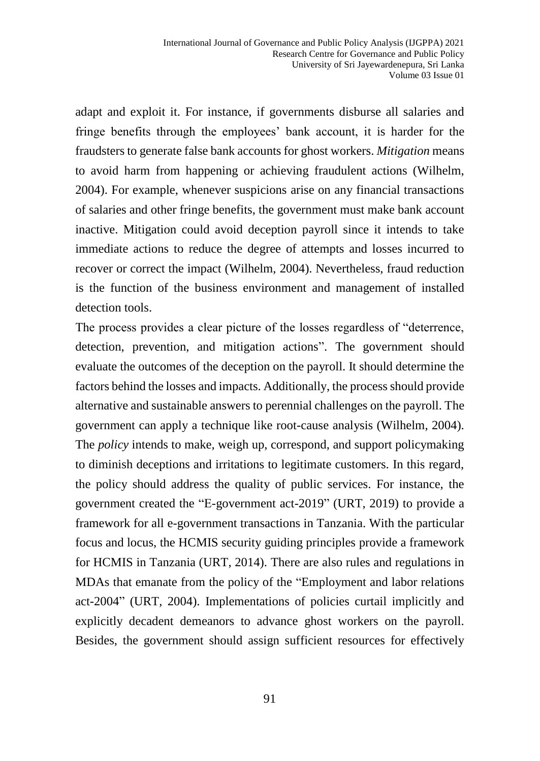adapt and exploit it. For instance, if governments disburse all salaries and fringe benefits through the employees' bank account, it is harder for the fraudsters to generate false bank accounts for ghost workers. *Mitigation* means to avoid harm from happening or achieving fraudulent actions (Wilhelm, 2004). For example, whenever suspicions arise on any financial transactions of salaries and other fringe benefits, the government must make bank account inactive. Mitigation could avoid deception payroll since it intends to take immediate actions to reduce the degree of attempts and losses incurred to recover or correct the impact (Wilhelm, 2004). Nevertheless, fraud reduction is the function of the business environment and management of installed detection tools.

The process provides a clear picture of the losses regardless of "deterrence, detection, prevention, and mitigation actions". The government should evaluate the outcomes of the deception on the payroll. It should determine the factors behind the losses and impacts. Additionally, the process should provide alternative and sustainable answers to perennial challenges on the payroll. The government can apply a technique like root-cause analysis (Wilhelm, 2004). The *policy* intends to make, weigh up, correspond, and support policymaking to diminish deceptions and irritations to legitimate customers. In this regard, the policy should address the quality of public services. For instance, the government created the "E-government act-2019" (URT, 2019) to provide a framework for all e-government transactions in Tanzania. With the particular focus and locus, the HCMIS security guiding principles provide a framework for HCMIS in Tanzania (URT, 2014). There are also rules and regulations in MDAs that emanate from the policy of the "Employment and labor relations act-2004" (URT, 2004). Implementations of policies curtail implicitly and explicitly decadent demeanors to advance ghost workers on the payroll. Besides, the government should assign sufficient resources for effectively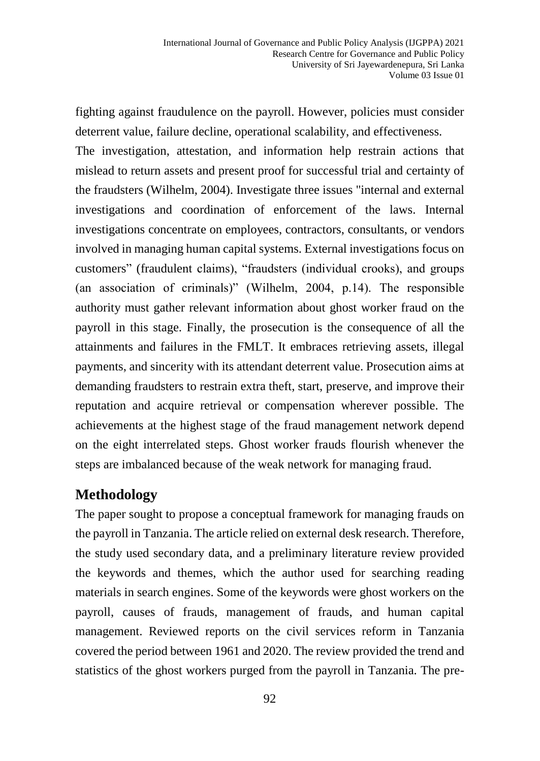fighting against fraudulence on the payroll. However, policies must consider deterrent value, failure decline, operational scalability, and effectiveness.

The investigation, attestation, and information help restrain actions that mislead to return assets and present proof for successful trial and certainty of the fraudsters (Wilhelm, 2004). Investigate three issues "internal and external investigations and coordination of enforcement of the laws. Internal investigations concentrate on employees, contractors, consultants, or vendors involved in managing human capital systems. External investigations focus on customers" (fraudulent claims), "fraudsters (individual crooks), and groups (an association of criminals)" (Wilhelm, 2004, p.14). The responsible authority must gather relevant information about ghost worker fraud on the payroll in this stage. Finally, the prosecution is the consequence of all the attainments and failures in the FMLT. It embraces retrieving assets, illegal payments, and sincerity with its attendant deterrent value. Prosecution aims at demanding fraudsters to restrain extra theft, start, preserve, and improve their reputation and acquire retrieval or compensation wherever possible. The achievements at the highest stage of the fraud management network depend on the eight interrelated steps. Ghost worker frauds flourish whenever the steps are imbalanced because of the weak network for managing fraud.

# **Methodology**

The paper sought to propose a conceptual framework for managing frauds on the payroll in Tanzania. The article relied on external desk research. Therefore, the study used secondary data, and a preliminary literature review provided the keywords and themes, which the author used for searching reading materials in search engines. Some of the keywords were ghost workers on the payroll, causes of frauds, management of frauds, and human capital management. Reviewed reports on the civil services reform in Tanzania covered the period between 1961 and 2020. The review provided the trend and statistics of the ghost workers purged from the payroll in Tanzania. The pre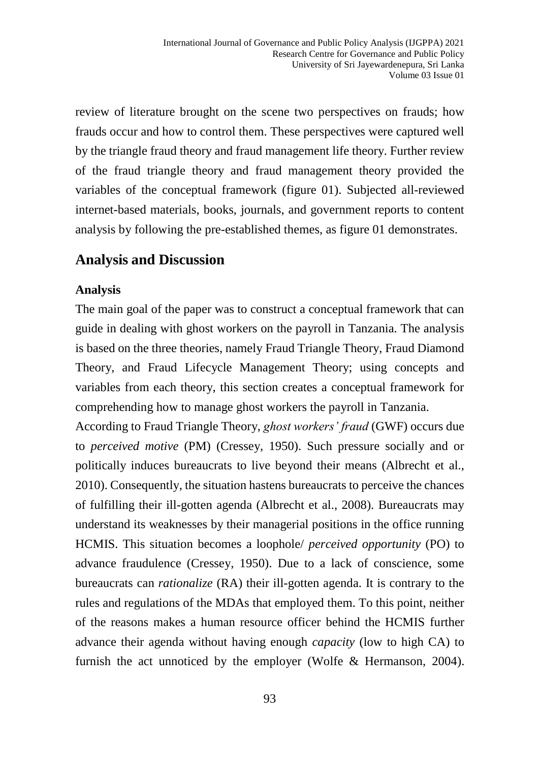review of literature brought on the scene two perspectives on frauds; how frauds occur and how to control them. These perspectives were captured well by the triangle fraud theory and fraud management life theory. Further review of the fraud triangle theory and fraud management theory provided the variables of the conceptual framework (figure 01). Subjected all-reviewed internet-based materials, books, journals, and government reports to content analysis by following the pre-established themes, as figure 01 demonstrates.

# **Analysis and Discussion**

#### **Analysis**

The main goal of the paper was to construct a conceptual framework that can guide in dealing with ghost workers on the payroll in Tanzania. The analysis is based on the three theories, namely Fraud Triangle Theory, Fraud Diamond Theory, and Fraud Lifecycle Management Theory; using concepts and variables from each theory, this section creates a conceptual framework for comprehending how to manage ghost workers the payroll in Tanzania.

According to Fraud Triangle Theory, *ghost workers' fraud* (GWF) occurs due to *perceived motive* (PM) (Cressey, 1950). Such pressure socially and or politically induces bureaucrats to live beyond their means (Albrecht et al., 2010). Consequently, the situation hastens bureaucrats to perceive the chances of fulfilling their ill-gotten agenda (Albrecht et al., 2008). Bureaucrats may understand its weaknesses by their managerial positions in the office running HCMIS. This situation becomes a loophole/ *perceived opportunity* (PO) to advance fraudulence (Cressey, 1950). Due to a lack of conscience, some bureaucrats can *rationalize* (RA) their ill-gotten agenda. It is contrary to the rules and regulations of the MDAs that employed them. To this point, neither of the reasons makes a human resource officer behind the HCMIS further advance their agenda without having enough *capacity* (low to high CA) to furnish the act unnoticed by the employer (Wolfe & Hermanson, 2004).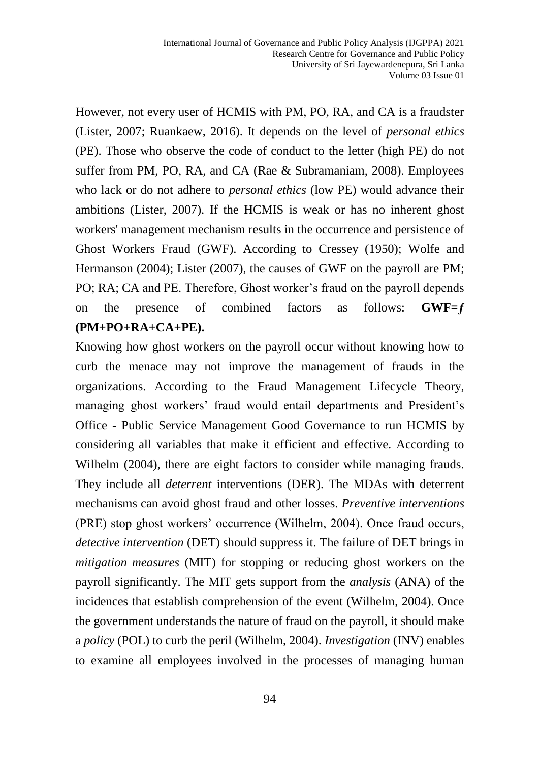However, not every user of HCMIS with PM, PO, RA, and CA is a fraudster (Lister, 2007; Ruankaew, 2016). It depends on the level of *personal ethics* (PE). Those who observe the code of conduct to the letter (high PE) do not suffer from PM, PO, RA, and CA (Rae & Subramaniam, 2008). Employees who lack or do not adhere to *personal ethics* (low PE) would advance their ambitions (Lister, 2007). If the HCMIS is weak or has no inherent ghost workers' management mechanism results in the occurrence and persistence of Ghost Workers Fraud (GWF). According to Cressey (1950); Wolfe and Hermanson (2004); Lister (2007), the causes of GWF on the payroll are PM; PO; RA; CA and PE. Therefore, Ghost worker's fraud on the payroll depends on the presence of combined factors as follows: **GWF=ƒ (PM+PO+RA+CA+PE).** 

Knowing how ghost workers on the payroll occur without knowing how to curb the menace may not improve the management of frauds in the organizations. According to the Fraud Management Lifecycle Theory, managing ghost workers' fraud would entail departments and President's Office - Public Service Management Good Governance to run HCMIS by considering all variables that make it efficient and effective. According to Wilhelm (2004), there are eight factors to consider while managing frauds. They include all *deterrent* interventions (DER). The MDAs with deterrent mechanisms can avoid ghost fraud and other losses. *Preventive interventions* (PRE) stop ghost workers' occurrence (Wilhelm, 2004). Once fraud occurs, *detective intervention* (DET) should suppress it. The failure of DET brings in *mitigation measures* (MIT) for stopping or reducing ghost workers on the payroll significantly. The MIT gets support from the *analysis* (ANA) of the incidences that establish comprehension of the event (Wilhelm, 2004). Once the government understands the nature of fraud on the payroll, it should make a *policy* (POL) to curb the peril (Wilhelm, 2004). *Investigation* (INV) enables to examine all employees involved in the processes of managing human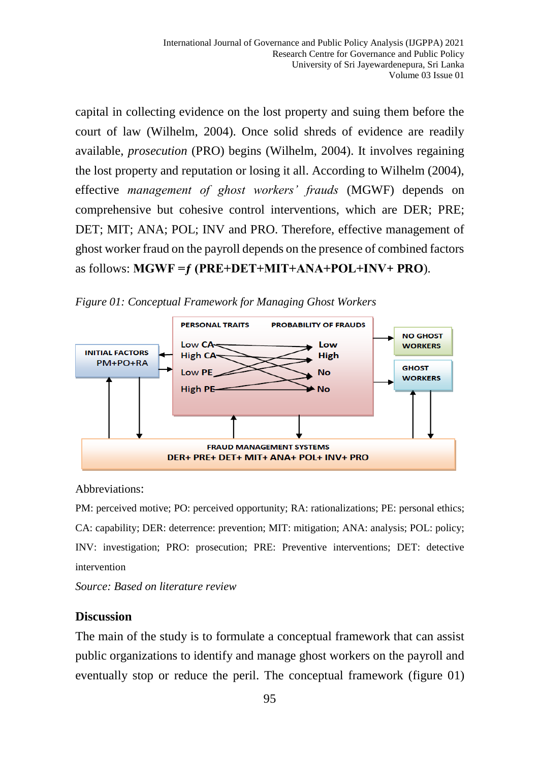capital in collecting evidence on the lost property and suing them before the court of law (Wilhelm, 2004). Once solid shreds of evidence are readily available, *prosecution* (PRO) begins (Wilhelm, 2004). It involves regaining the lost property and reputation or losing it all. According to Wilhelm (2004), effective *management of ghost workers' frauds* (MGWF) depends on comprehensive but cohesive control interventions, which are DER; PRE; DET; MIT; ANA; POL; INV and PRO. Therefore, effective management of ghost worker fraud on the payroll depends on the presence of combined factors as follows: **MGWF =ƒ (PRE+DET+MIT+ANA+POL+INV+ PRO**).





Abbreviations:

PM: perceived motive; PO: perceived opportunity; RA: rationalizations; PE: personal ethics; CA: capability; DER: deterrence: prevention; MIT: mitigation; ANA: analysis; POL: policy; INV: investigation; PRO: prosecution; PRE: Preventive interventions; DET: detective intervention

*Source: Based on literature review*

#### **Discussion**

The main of the study is to formulate a conceptual framework that can assist public organizations to identify and manage ghost workers on the payroll and eventually stop or reduce the peril. The conceptual framework (figure 01)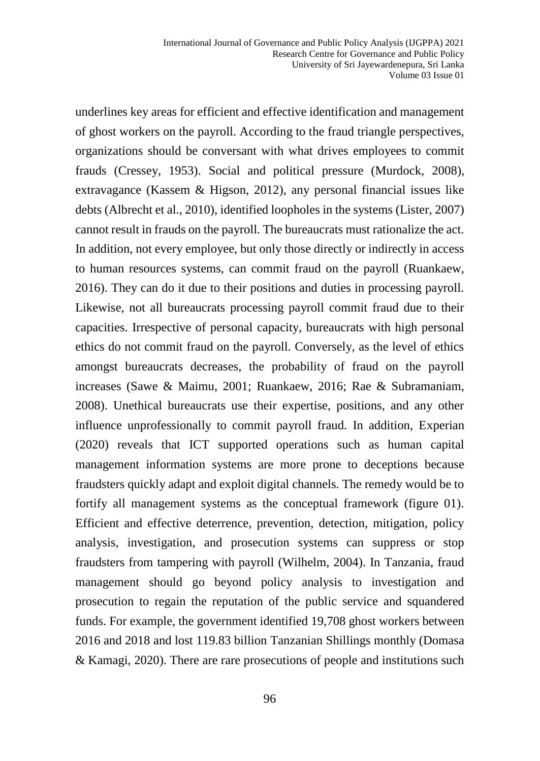underlines key areas for efficient and effective identification and management of ghost workers on the payroll. According to the fraud triangle perspectives, organizations should be conversant with what drives employees to commit frauds (Cressey, 1953). Social and political pressure (Murdock, 2008), extravagance (Kassem & Higson, 2012), any personal financial issues like debts (Albrecht et al., 2010), identified loopholes in the systems (Lister, 2007) cannot result in frauds on the payroll. The bureaucrats must rationalize the act. In addition, not every employee, but only those directly or indirectly in access to human resources systems, can commit fraud on the payroll (Ruankaew, 2016). They can do it due to their positions and duties in processing payroll. Likewise, not all bureaucrats processing payroll commit fraud due to their capacities. Irrespective of personal capacity, bureaucrats with high personal ethics do not commit fraud on the payroll. Conversely, as the level of ethics amongst bureaucrats decreases, the probability of fraud on the payroll increases (Sawe & Maimu, 2001; Ruankaew, 2016; Rae & Subramaniam, 2008). Unethical bureaucrats use their expertise, positions, and any other influence unprofessionally to commit payroll fraud. In addition, Experian (2020) reveals that ICT supported operations such as human capital management information systems are more prone to deceptions because fraudsters quickly adapt and exploit digital channels. The remedy would be to fortify all management systems as the conceptual framework (figure 01). Efficient and effective deterrence, prevention, detection, mitigation, policy analysis, investigation, and prosecution systems can suppress or stop fraudsters from tampering with payroll (Wilhelm, 2004). In Tanzania, fraud management should go beyond policy analysis to investigation and prosecution to regain the reputation of the public service and squandered funds. For example, the government identified 19,708 ghost workers between 2016 and 2018 and lost 119.83 billion Tanzanian Shillings monthly (Domasa & Kamagi, 2020). There are rare prosecutions of people and institutions such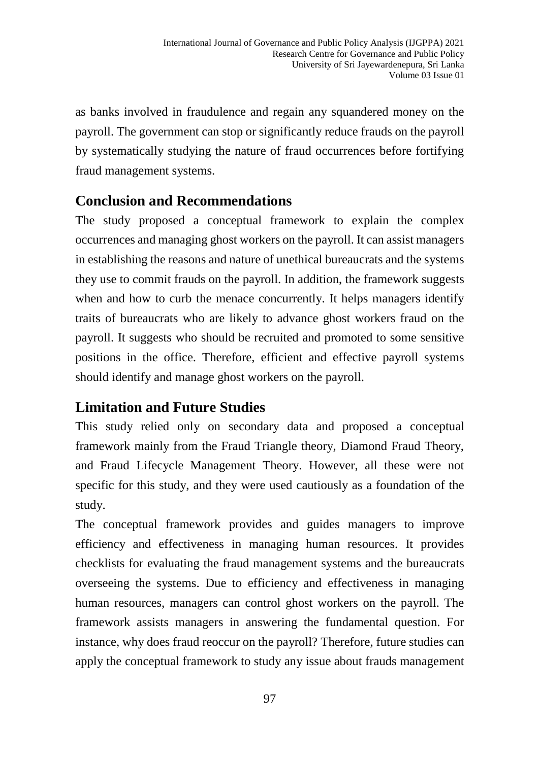as banks involved in fraudulence and regain any squandered money on the payroll. The government can stop or significantly reduce frauds on the payroll by systematically studying the nature of fraud occurrences before fortifying fraud management systems.

# **Conclusion and Recommendations**

The study proposed a conceptual framework to explain the complex occurrences and managing ghost workers on the payroll. It can assist managers in establishing the reasons and nature of unethical bureaucrats and the systems they use to commit frauds on the payroll. In addition, the framework suggests when and how to curb the menace concurrently. It helps managers identify traits of bureaucrats who are likely to advance ghost workers fraud on the payroll. It suggests who should be recruited and promoted to some sensitive positions in the office. Therefore, efficient and effective payroll systems should identify and manage ghost workers on the payroll.

# **Limitation and Future Studies**

This study relied only on secondary data and proposed a conceptual framework mainly from the Fraud Triangle theory, Diamond Fraud Theory, and Fraud Lifecycle Management Theory. However, all these were not specific for this study, and they were used cautiously as a foundation of the study.

The conceptual framework provides and guides managers to improve efficiency and effectiveness in managing human resources. It provides checklists for evaluating the fraud management systems and the bureaucrats overseeing the systems. Due to efficiency and effectiveness in managing human resources, managers can control ghost workers on the payroll. The framework assists managers in answering the fundamental question. For instance, why does fraud reoccur on the payroll? Therefore, future studies can apply the conceptual framework to study any issue about frauds management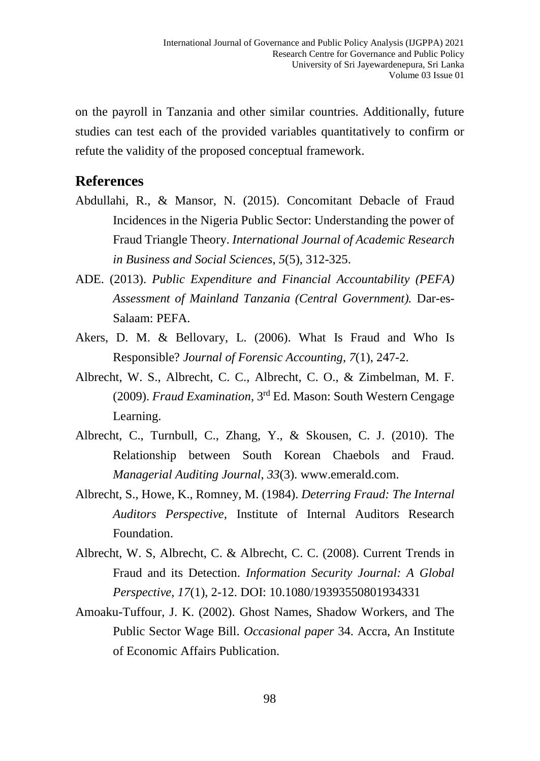on the payroll in Tanzania and other similar countries. Additionally, future studies can test each of the provided variables quantitatively to confirm or refute the validity of the proposed conceptual framework.

## **References**

- Abdullahi, R., & Mansor, N. (2015). Concomitant Debacle of Fraud Incidences in the Nigeria Public Sector: Understanding the power of Fraud Triangle Theory. *International Journal of Academic Research in Business and Social Sciences*, *5*(5), 312-325.
- ADE. (2013). *Public Expenditure and Financial Accountability (PEFA) Assessment of Mainland Tanzania (Central Government).* Dar-es-Salaam: PEFA.
- Akers, D. M. & Bellovary, L. (2006). What Is Fraud and Who Is Responsible? *Journal of Forensic Accounting*, *7*(1), 247-2.
- Albrecht, W. S., Albrecht, C. C., Albrecht, C. O., & Zimbelman, M. F. (2009). *Fraud Examination*, 3rd Ed. Mason: South Western Cengage Learning.
- Albrecht, C., Turnbull, C., Zhang, Y., & Skousen, C. J. (2010). The Relationship between South Korean Chaebols and Fraud. *Managerial Auditing Journal*, *33*(3). www.emerald.com.
- Albrecht, S., Howe, K., Romney, M. (1984). *Deterring Fraud: The Internal Auditors Perspective,* Institute of Internal Auditors Research Foundation.
- Albrecht, W. S, Albrecht, C. & Albrecht, C. C. (2008). Current Trends in Fraud and its Detection. *Information Security Journal: A Global Perspective, 17*(1), 2-12. DOI: 10.1080/19393550801934331
- Amoaku-Tuffour, J. K. (2002). Ghost Names, Shadow Workers, and The Public Sector Wage Bill. *Occasional paper* 34. Accra, An Institute of Economic Affairs Publication.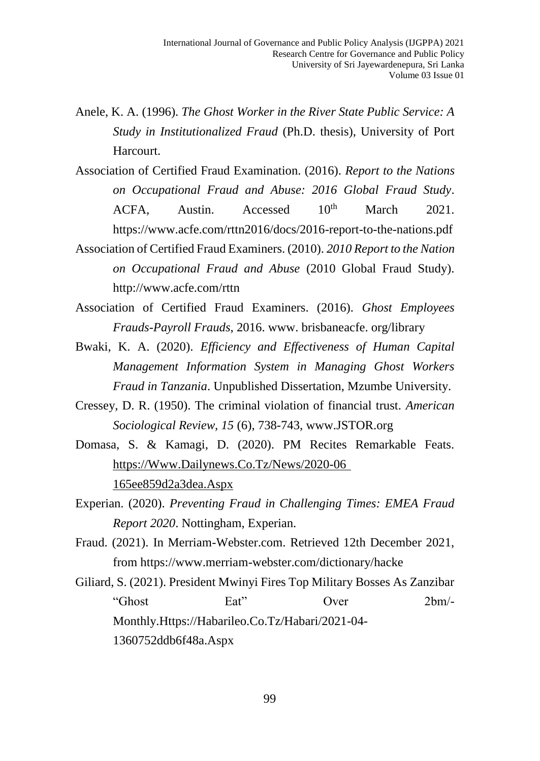- Anele, K. A. (1996). *The Ghost Worker in the River State Public Service: A Study in Institutionalized Fraud* (Ph.D. thesis), University of Port Harcourt.
- Association of Certified Fraud Examination. (2016). *Report to the Nations on Occupational Fraud and Abuse: 2016 Global Fraud Study*.  $ACFA$ , Austin. Accessed  $10^{th}$  March 2021. <https://www.acfe.com/rttn2016/docs/2016-report-to-the-nations.pdf>
- Association of Certified Fraud Examiners. (2010). *2010 Report to the Nation on Occupational Fraud and Abuse* (2010 Global Fraud Study). <http://www.acfe.com/rttn>
- Association of Certified Fraud Examiners. (2016). *Ghost Employees Frauds-Payroll Frauds*, 2016. www. brisbaneacfe. org/library
- Bwaki, K. A. (2020). *Efficiency and Effectiveness of Human Capital Management Information System in Managing Ghost Workers Fraud in Tanzania*. Unpublished Dissertation, Mzumbe University.
- Cressey, D. R. (1950). The criminal violation of financial trust. *American Sociological Review, 15* (6), 738-743, [www.JSTOR.org](http://www.jstor.org/)
- Domasa, S. & Kamagi, D. (2020). PM Recites Remarkable Feats. [https://Www.Dailynews.Co.Tz/News/2020-06](https://www.dailynews.co.tz/News/2020-06%20165ee859d2a3dea.Aspx)  [165ee859d2a3dea.Aspx](https://www.dailynews.co.tz/News/2020-06%20165ee859d2a3dea.Aspx)
- Experian. (2020). *Preventing Fraud in Challenging Times: EMEA Fraud Report 2020*. Nottingham, Experian.
- Fraud. (2021). In Merriam-Webster.com. Retrieved 12th December 2021, from https://www.merriam-webster.com/dictionary/hacke

Giliard, S. (2021). President Mwinyi Fires Top Military Bosses As Zanzibar "Ghost Eat" Over 2bm/- Monthly[.Https://Habarileo.Co.Tz/Habari/2021-04-](https://habarileo.co.tz/habari/2021-04-1360752ddb6f48a.aspx) [1360752ddb6f48a.Aspx](https://habarileo.co.tz/habari/2021-04-1360752ddb6f48a.aspx)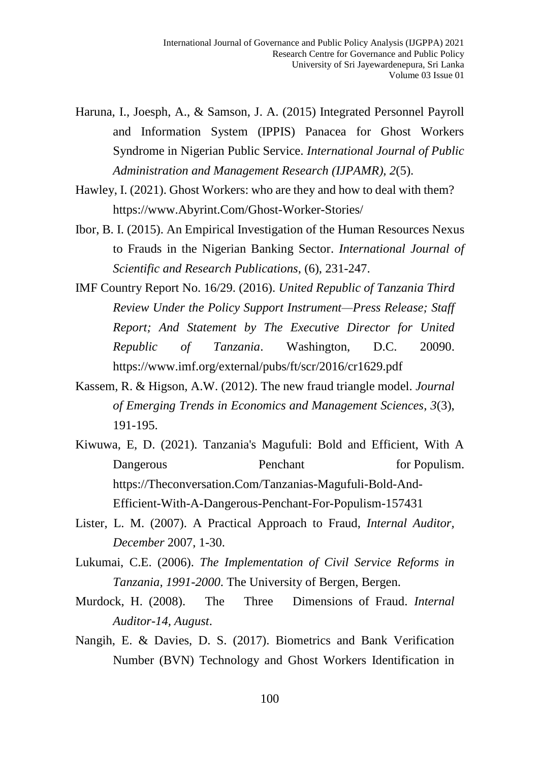- Haruna, I., Joesph, A., & Samson, J. A. (2015) Integrated Personnel Payroll and Information System (IPPIS) Panacea for Ghost Workers Syndrome in Nigerian Public Service. *International Journal of Public Administration and Management Research (IJPAMR), 2*(5).
- Hawley, I. (2021). Ghost Workers: who are they and how to deal with them? [https://www.Abyrint.Com/Ghost-Worker-Stories/](https://www.abyrint.com/Ghost-Worker-Stories/)
- Ibor, B. I. (2015). An Empirical Investigation of the Human Resources Nexus to Frauds in the Nigerian Banking Sector. *International Journal of Scientific and Research Publications*, (6), 231-247.
- IMF Country Report No. 16/29. (2016). *United Republic of Tanzania Third Review Under the Policy Support Instrument—Press Release; Staff Report; And Statement by The Executive Director for United Republic of Tanzania*. Washington, D.C. 20090. https://www.imf.org/external/pubs/ft/scr/2016/cr1629.pdf
- Kassem, R. & Higson, A.W. (2012). The new fraud triangle model. *Journal of Emerging Trends in Economics and Management Sciences*, *3*(3), 191-195.
- Kiwuwa, E, D. (2021). Tanzania's Magufuli: Bold and Efficient, With A Dangerous Penchant for Populism. [https://Theconversation.Com/Tanzanias-Magufuli-Bold-And-](https://theconversation.com/Tanzanias-Magufuli-Bold-And-Efficient-With-A-Dangerous-Penchant-For-Populism-157431)[Efficient-With-A-Dangerous-Penchant-For-Populism-157431](https://theconversation.com/Tanzanias-Magufuli-Bold-And-Efficient-With-A-Dangerous-Penchant-For-Populism-157431)
- Lister, L. M. (2007). A Practical Approach to Fraud, *Internal Auditor, December* 2007, 1-30.
- Lukumai, C.E. (2006). *The Implementation of Civil Service Reforms in Tanzania, 1991-2000*. The University of Bergen, Bergen.
- Murdock, H. (2008). The Three Dimensions of Fraud. *Internal Auditor-14, August*.
- Nangih, E. & Davies, D. S. (2017). Biometrics and Bank Verification Number (BVN) Technology and Ghost Workers Identification in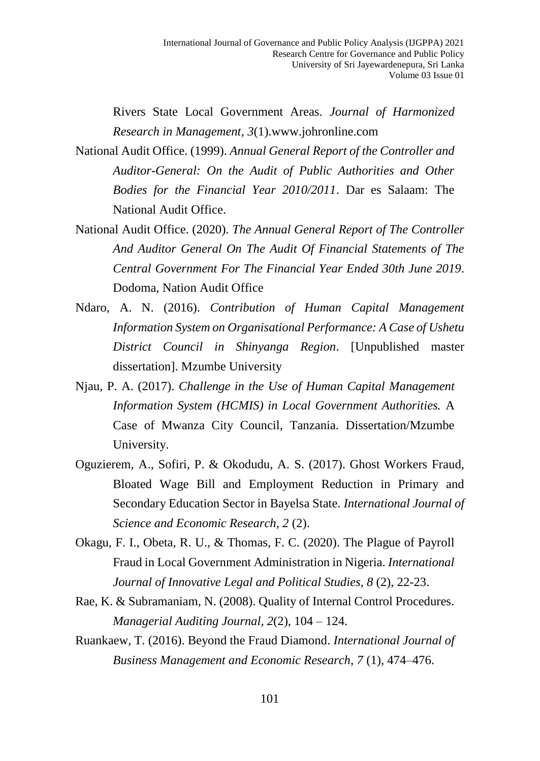Rivers State Local Government Areas. *Journal of Harmonized Research in Management*, *3*(1)[.www.johronline.com](http://www.johronline.com/)

- National Audit Office. (1999). *Annual General Report of the Controller and Auditor-General: On the Audit of Public Authorities and Other Bodies for the Financial Year 2010/2011*. Dar es Salaam: The National Audit Office.
- National Audit Office. (2020). *The Annual General Report of The Controller And Auditor General On The Audit Of Financial Statements of The Central Government For The Financial Year Ended 30th June 2019*. Dodoma, Nation Audit Office
- Ndaro, A. N. (2016). *Contribution of Human Capital Management Information System on Organisational Performance: A Case of Ushetu District Council in Shinyanga Region*. [Unpublished master dissertation]. Mzumbe University
- Njau, P. A. (2017). *Challenge in the Use of Human Capital Management Information System (HCMIS) in Local Government Authorities.* A Case of Mwanza City Council, Tanzania. Dissertation/Mzumbe University.
- Oguzierem, A., Sofiri, P. & Okodudu, A. S. (2017). Ghost Workers Fraud, Bloated Wage Bill and Employment Reduction in Primary and Secondary Education Sector in Bayelsa State. *International Journal of Science and Economic Research, 2* (2).
- Okagu, F. I., Obeta, R. U., & Thomas, F. C. (2020). The Plague of Payroll Fraud in Local Government Administration in Nigeria. *International Journal of Innovative Legal and Political Studies*, *8* (2), 22-23.
- Rae, K. & Subramaniam, N. (2008). Quality of Internal Control Procedures. *Managerial Auditing Journal, 2*(2), 104 – 124.
- Ruankaew, T. (2016). Beyond the Fraud Diamond. *International Journal of Business Management and Economic Research*, *7* (1), 474–476.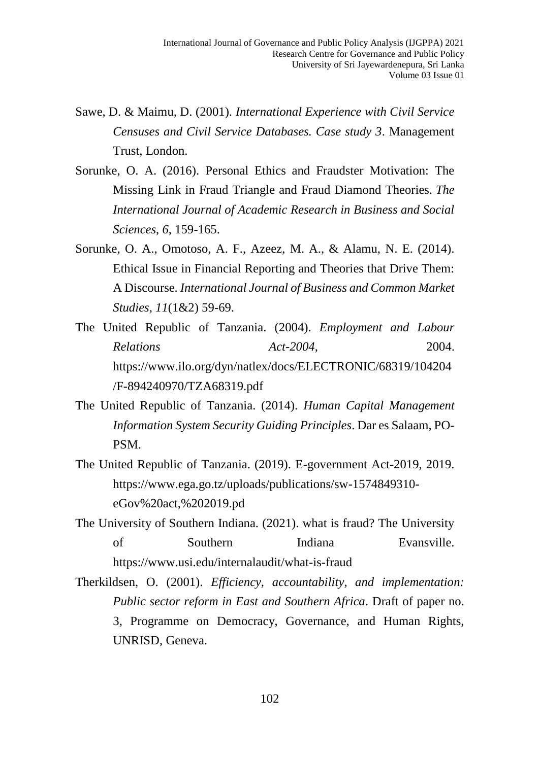- Sawe, D. & Maimu, D. (2001). *International Experience with Civil Service Censuses and Civil Service Databases. Case study 3*. Management Trust, London.
- Sorunke, O. A. (2016). Personal Ethics and Fraudster Motivation: The Missing Link in Fraud Triangle and Fraud Diamond Theories. *The International Journal of Academic Research in Business and Social Sciences*, *6*, 159-165.
- Sorunke, O. A., Omotoso, A. F., Azeez, M. A., & Alamu, N. E. (2014). Ethical Issue in Financial Reporting and Theories that Drive Them: A Discourse. *International Journal of Business and Common Market Studies*, *11*(1&2) 59-69.
- The United Republic of Tanzania. (2004). *Employment and Labour Relations Act-2004*, 2004. [https://www.ilo.org/dyn/natlex/docs/ELECTRONIC/68319/104204](https://www.ilo.org/dyn/natlex/docs/ELECTRONIC/68319/104204/F-894240970/TZA68319.pdf) [/F-894240970/TZA68319.pdf](https://www.ilo.org/dyn/natlex/docs/ELECTRONIC/68319/104204/F-894240970/TZA68319.pdf)
- The United Republic of Tanzania. (2014). *Human Capital Management Information System Security Guiding Principles*. Dar es Salaam, PO-PSM.
- The United Republic of Tanzania. (2019). E-government Act-2019, 2019. [https://www.ega.go.tz/uploads/publications/sw-1574849310](https://www.ega.go.tz/uploads/publications/sw-1574849310-eGov%20act,%202019.pd) [eGov%20act,%202019.pd](https://www.ega.go.tz/uploads/publications/sw-1574849310-eGov%20act,%202019.pd)
- The University of Southern Indiana. (2021). what is fraud? The University of Southern Indiana Evansville. <https://www.usi.edu/internalaudit/what-is-fraud>
- Therkildsen, O. (2001). *Efficiency, accountability, and implementation: Public sector reform in East and Southern Africa*. Draft of paper no. 3, Programme on Democracy, Governance, and Human Rights, UNRISD, Geneva.